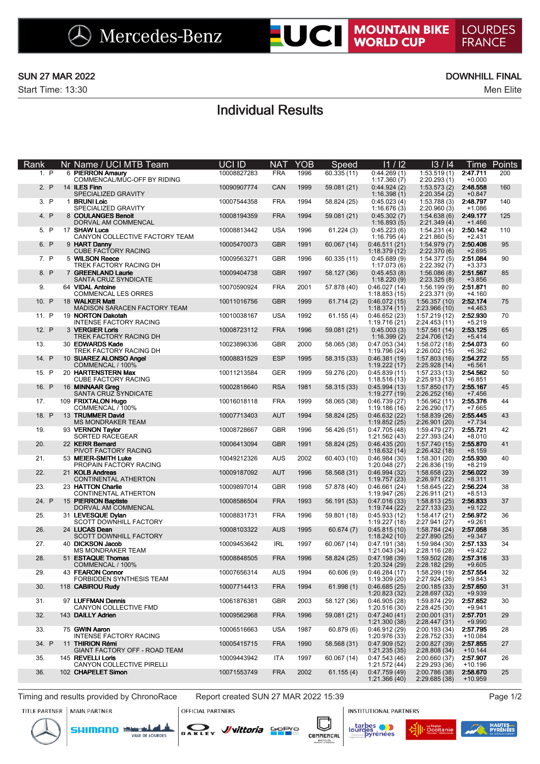## SUN 27 MAR 2022 **DOWNHILL FINAL**

Start Time: 13:30 Men Elite

# Individual Results

| Rank  | Nr Name / UCI MTB Team                                                       | <b>UCI ID</b> | N <sub>A</sub> T | YOB  | Speed       | 11/12                                     | 13/14                          | 1 ime                 | <b>Points</b> |
|-------|------------------------------------------------------------------------------|---------------|------------------|------|-------------|-------------------------------------------|--------------------------------|-----------------------|---------------|
| 1. P  | 6 PIERRON Amaury<br>COMMENCAL/MUC-OFF BY RIDING                              | 10008827283   | <b>FRA</b>       | 1996 | 60.335 (11) | 0:44.269(1)<br>1:17.360(7)                | 1:53.519(1)<br>2:20.293(1)     | 2:47.711<br>$+0.000$  | 200           |
| 2. P  | 14 ILES Finn<br>SPECIALIZED GRAVITY                                          | 10090907774   | CAN              | 1999 | 59.081 (21) | 0:44.924(2)<br>1:16.398(1)                | 1:53.573(2)<br>2:20.354(2)     | 2:48.558<br>$+0.847$  | 160           |
| 3. P  | 1 BRUNI Loic<br>SPECIALIZED GRAVITY                                          | 10007544358   | <b>FRA</b>       | 1994 | 58.824 (25) | 0:45.023(4)<br>1:16.676(3)                | 1:53.788(3)<br>2:20.960(3)     | 2:48.797<br>$+1.086$  | 140           |
| 4. P  | 8 COULANGES Benoit<br>DORVAL AM COMMENCAL                                    | 10008194359   | <b>FRA</b>       | 1994 | 59.081 (21) | 0:45.302(7)<br>1:16.893(5)                | 1:54.638(6)<br>2:21.349(4)     | 2:49.177<br>$+1.466$  | 125           |
| 5. P  | 17 SHAW Luca                                                                 | 10008813442   | <b>USA</b>       | 1996 | 61.224(3)   | 0:45.223(6)                               | 1:54.231(4)                    | 2:50.142              | 110           |
| 6. P  | CANYON COLLECTIVE FACTORY TEAM<br>9 HART Danny<br><b>CUBE FACTORY RACING</b> | 10005470073   | <b>GBR</b>       | 1991 | 60.067 (14) | 1:16.795(4)<br>0:46.511(21)               | 2:21.860(5)<br>1:54.979(7)     | $+2.431$<br>2:50.406  | 95            |
| 7. P  | 5 WILSON Reece                                                               | 10009563271   | <b>GBR</b>       | 1996 | 60.335 (11) | 1:18.379(12)<br>0:45.689(9)               | 2:22.370(6)<br>1:54.377(5)     | $+2.695$<br>2:51.084  | 90            |
| 8. P  | TREK FACTORY RACING DH<br>7 GREENLAND Laurie                                 | 10009404738   | <b>GBR</b>       | 1997 | 58.127 (36) | 1:17.073(6)<br>0:45.453(8)<br>1:18.220(9) | 2:22.392(7)<br>1:56.086(8)     | $+3.373$<br>2:51.567  | 85            |
| 9.    | SANTA CRUZ SYNDICATE<br>64 VIDAL Antoine                                     | 10070590924   | <b>FRA</b>       | 2001 | 57.878 (40) | 0:46.027(14)                              | 2:23.325(8)<br>1:56.199(9)     | $+3.856$<br>2:51.871  | 80            |
| 10. P | <b>COMMENCAL LES ORRES</b><br>18 WALKER Matt                                 | 10011016756   | <b>GBR</b>       | 1999 | 61.714(2)   | 1:18.853(15)<br>0:46.072(15)              | 2:23.371(9)<br>1:56.357(10)    | $+4.160$<br>2:52.174  | 75            |
| 11. P | MADISON SARACEN FACTORY TEAM<br>19 NORTON Dakotah                            | 10010038167   | <b>USA</b>       | 1992 | 61.155(4)   | 1:18.374(11)<br>0:46.652(23)              | 2:23.966 (10)<br>1:57.219 (12) | $+4.463$<br>2:52.930  | 70            |
| 12. P | <b>INTENSE FACTORY RACING</b><br>3 VERGIER Loris                             | 10008723112   | <b>FRA</b>       | 1996 | 59.081 (21) | 1:19.716 (21)<br>0:45.003(3)              | 2:24.453(11)<br>1:57.561(14)   | $+5.219$<br>2:53.125  | 65            |
| 13.   | TREK FACTORY RACING DH<br>30 EDWARDS Kade                                    | 10023896336   | <b>GBR</b>       | 2000 | 58.065 (38) | 1:16.399(2)<br>0:47.053(34)               | 2:24.706 (12)<br>1:58.072 (18) | $+5.414$<br>2:54.073  | 60            |
| 14. P | TREK FACTORY RACING DH<br>10 SUAREZ ALONSO Angel                             | 10008831529   | <b>ESP</b>       | 1995 | 58.315 (33) | 1:19.796 (24)<br>0:46.381(19)             | 2:26.002 (15)<br>1:57.803(16)  | $+6.362$<br>2:54.272  | 55            |
| 15. P | COMMENCAL / 100%<br>20 HARTENSTERN Max                                       | 10011213584   | <b>GER</b>       | 1999 | 59.276 (20) | 1:19.222(17)<br>0:45.839(11)              | 2:25.928(14)<br>1:57.233(13)   | $+6.561$<br>2:54.562  | 50            |
| 16. P | <b>CUBE FACTORY RACING</b><br>16 MINNAAR Greg                                | 10002818640   | <b>RSA</b>       | 1981 | 58.315 (33) | 1:18.516(13)<br>0:45.994(13)              | 2:25.913(13)<br>1:57.850(17)   | $+6.851$<br>2:55.167  | 45            |
| 17.   | SANTA CRUZ SYNDICATE<br>109 FRIXTALON Hugo                                   | 10016018118   | <b>FRA</b>       | 1999 | 58.065 (38) | 1:19.277(19)<br>0:46.739(27)              | 2:26.252(16)<br>1:56.962(11)   | $+7.456$<br>2:55.376  | 44            |
| 18. P | COMMENCAL / 100%<br>13 TRUMMER David                                         | 10007713403   | <b>AUT</b>       | 1994 | 58.824 (25) | 1:19.186(16)<br>0:46.632(22)              | 2:26.290 (17)<br>1:58.839(26)  | $+7.665$<br>2:55.445  | 43            |
| 19.   | <b>MS MONDRAKER TEAM</b><br>93 VERNON Taylor                                 | 10008728667   | <b>GBR</b>       | 1996 | 56.426 (51) | 1:19.852(25)<br>0:47.705(48)              | 2:26.901(20)<br>1:59.479 (27)  | $+7.734$<br>2:55.721  | 42            |
| 20.   | SORTED RACEGEAR<br>22 KERR Bernard                                           | 10006413094   | <b>GBR</b>       | 1991 | 58.824 (25) | 1:21.562(43)<br>0:46.435(20)              | 2:27.393 (24)<br>1:57.740(15)  | $+8.010$<br>2:55.870  | 41            |
| 21.   | PIVOT FACTORY RACING<br>53 MEIER-SMITH Luke                                  | 10049212326   | <b>AUS</b>       | 2002 | 60.403 (10) | 1:18.632(14)<br>0:46.984(30)              | 2:26.432(18)<br>1:58.301(20)   | $+8.159$<br>2:55.930  | 40            |
| 22.   | PROPAIN FACTORY RACING<br>21 KOLB Andreas                                    | 10009187092   | <b>AUT</b>       | 1996 | 58.568 (31) | 1:20.048 (27)<br>0:46.994(32)             | 2:26.836 (19)<br>1:58.658(23)  | $+8.219$<br>2:56.022  | 39            |
| 23.   | CONTINENTAL ATHERTON<br>23 HATTON Charlie                                    | 10009897014   | <b>GBR</b>       | 1998 | 57.878 (40) | 1:19.757(23)<br>0:46.661(24)              | 2:26.971(22)<br>1:58.645(22)   | $+8.311$<br>2:56.224  | 38            |
| 24. P | CONTINENTAL ATHERTON<br>15 PIERRON Baptiste                                  | 10008586504   | <b>FRA</b>       | 1993 | 56.191 (53) | 1:19.947 (26)<br>0:47.016(33)             | 2:26.911 (21)<br>1:58.813(25)  | $+8.513$<br>2:56.833  | 37            |
| 25.   | DORVAL AM COMMENCAL<br>31 LEVESQUE Dylan                                     | 10008831731   | <b>FRA</b>       | 1996 | 59.801 (18) | 1:19.744(22)<br>0:45.933(12)              | 2:27.133(23)<br>1:58.417(21)   | $+9.122$<br>2:56.972  | 36            |
| 26.   | <b>SCOTT DOWNHILL FACTORY</b><br>24 LUCAS Dean                               | 10008103322   | <b>AUS</b>       | 1995 | 60.674(7)   | 1:19.227 (18)<br>0:45.815(10)             | 2:27.941 (27)<br>1:58.784 (24) | $+9.261$<br>2:57.058  | 35            |
| 27.   | <b>SCOTT DOWNHILL FACTORY</b><br>40 DICKSON Jacob                            | 10009453642   | <b>IRL</b>       | 1997 | 60.067 (14) | 1:18.242(10)<br>0:47.191(38)              | 2:27.890(25)<br>1:59.984 (30)  | $+9.347$<br>2:57.133  | 34            |
| 28.   | <b>MS MONDRAKER TEAM</b><br>51 ESTAQUE Thomas                                | 10008848505   | <b>FRA</b>       | 1996 | 58.824 (25) | 1:21.043 (34)<br>0:47.198(39)             | 2:28.116(28)<br>1:59.502(28)   | $+9.422$<br>2:57.316  | 33            |
| 29.   | COMMENCAL / 100%<br>43 FEARON Connor                                         | 10007656314   | <b>AUS</b>       | 1994 | 60.606(9)   | 1:20.324 (29)<br>0:46.284(17)             | 2:28.182(29)<br>1:58.299 (19)  | $+9.605$<br>2:57.554  | 32            |
| 30.   | FORBIDDEN SYNTHESIS TEAM<br>118 CABIROU Rudy                                 | 10007714413   | <b>FRA</b>       | 1994 | 61.998(1)   | 1:19.309(20)<br>0:46.685(25)              | 2:27.924 (26)<br>2:00.185(33)  | $+9.843$<br>2:57.650  | 31            |
| 31.   | 97 LUFFMAN Dennis                                                            | 10061876381   | GBR              | 2003 | 58.127 (36) | 1:20.823 (32)<br>0:46.905(28)             | 2:28.697 (32)<br>1:59.874 (29) | $+9.939$<br>2:57.652  | 30            |
| 32.   | CANYON COLLECTIVE FMD<br>143 DAILLY Adrien                                   | 10009562968   | <b>FRA</b>       | 1996 | 59.081 (21) | 1:20.516 (30)<br>0:47.240(41)             | 2:28.425 (30)<br>2:00.001(31)  | $+9.941$<br>2:57.701  | 29            |
| 33.   | 75 GWIN Aaron                                                                | 10006516663   | <b>USA</b>       | 1987 | 60.879(6)   | 1:21.300(38)<br>0:46.912(29)              | 2:28.447 (31)<br>2:00.193 (34) | $+9.990$<br>2:57.795  | 28            |
| 34. P | <b>INTENSE FACTORY RACING</b><br>11 THIRION Rémi                             | 10005415715   | <b>FRA</b>       | 1990 | 58.568 (31) | 1:20.976 (33)<br>0:47.909(52)             | 2:28.752 (33)<br>2:00.827 (39) | $+10.084$<br>2:57.855 | 27            |
| 35.   | GIANT FACTORY OFF - ROAD TEAM<br>145 REVELLI Loris                           | 10009443942   | ITA              | 1997 | 60.067 (14) | 1:21.235 (35)<br>0:47.543(46)             | 2:28.808 (34)<br>2:00.660 (37) | $+10.144$<br>2:57.907 | 26            |
| 36.   | CANYON COLLECTIVE PIRELLI<br>102 CHAPELET Simon                              | 10071553749   | <b>FRA</b>       | 2002 | 61.155(4)   | 1:21.572 (44)<br>0:47.759(49)             | 2:29.293 (36)<br>2:00.786 (38) | $+10.196$<br>2:58.670 | 25            |
|       |                                                                              |               |                  |      |             | 1:21.366(40)                              | 2:29.685 (38)                  | +10.959               |               |

Timing and results provided by ChronoRace Report created SUN 27 MAR 2022 15:39 Page 1/2

TITLE PARTNER | MAIN PARTNER

**SHIMANO** 

**OFFICIAL PARTNERS**  $\sum_{\mathbf{n} \in \mathbf{K}}$ 





**INSTITUTIONAL PARTNERS**